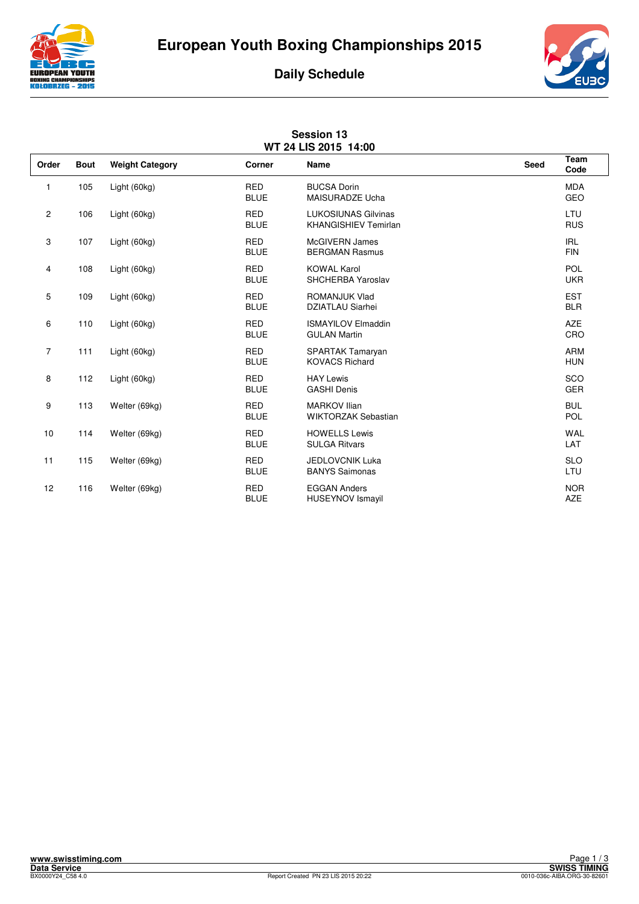





| <b>Session 13</b><br>WT 24 LIS 2015 14:00 |             |                        |                           |                                                           |      |                          |  |  |  |
|-------------------------------------------|-------------|------------------------|---------------------------|-----------------------------------------------------------|------|--------------------------|--|--|--|
| Order                                     | <b>Bout</b> | <b>Weight Category</b> | Corner                    | <b>Name</b>                                               | Seed | Team<br>Code             |  |  |  |
| 1                                         | 105         | Light (60kg)           | <b>RED</b><br><b>BLUE</b> | <b>BUCSA Dorin</b><br><b>MAISURADZE Ucha</b>              |      | <b>MDA</b><br>GEO        |  |  |  |
| $\overline{\mathbf{c}}$                   | 106         | Light (60kg)           | <b>RED</b><br><b>BLUE</b> | <b>LUKOSIUNAS Gilvinas</b><br><b>KHANGISHIEV Temirlan</b> |      | LTU<br><b>RUS</b>        |  |  |  |
| 3                                         | 107         | Light (60kg)           | <b>RED</b><br><b>BLUE</b> | <b>McGIVERN James</b><br><b>BERGMAN Rasmus</b>            |      | <b>IRL</b><br><b>FIN</b> |  |  |  |
| 4                                         | 108         | Light (60kg)           | <b>RED</b><br><b>BLUE</b> | <b>KOWAL Karol</b><br>SHCHERBA Yaroslav                   |      | POL<br><b>UKR</b>        |  |  |  |
| 5                                         | 109         | Light (60kg)           | <b>RED</b><br><b>BLUE</b> | ROMANJUK Vlad<br><b>DZIATLAU Siarhei</b>                  |      | <b>EST</b><br><b>BLR</b> |  |  |  |
| 6                                         | 110         | Light (60kg)           | <b>RED</b><br><b>BLUE</b> | <b>ISMAYILOV Elmaddin</b><br><b>GULAN Martin</b>          |      | <b>AZE</b><br>CRO        |  |  |  |
| 7                                         | 111         | Light (60kg)           | <b>RED</b><br><b>BLUE</b> | SPARTAK Tamaryan<br><b>KOVACS Richard</b>                 |      | <b>ARM</b><br><b>HUN</b> |  |  |  |
| 8                                         | 112         | Light (60kg)           | <b>RED</b><br><b>BLUE</b> | <b>HAY Lewis</b><br><b>GASHI Denis</b>                    |      | SCO<br><b>GER</b>        |  |  |  |
| 9                                         | 113         | Welter (69kg)          | <b>RED</b><br><b>BLUE</b> | <b>MARKOV Ilian</b><br><b>WIKTORZAK Sebastian</b>         |      | <b>BUL</b><br><b>POL</b> |  |  |  |
| 10                                        | 114         | Welter (69kg)          | <b>RED</b><br><b>BLUE</b> | <b>HOWELLS Lewis</b><br><b>SULGA Ritvars</b>              |      | WAL<br>LAT               |  |  |  |
| 11                                        | 115         | Welter (69kg)          | <b>RED</b><br><b>BLUE</b> | <b>JEDLOVCNIK Luka</b><br><b>BANYS Saimonas</b>           |      | <b>SLO</b><br>LTU        |  |  |  |
| 12                                        | 116         | Welter (69kg)          | <b>RED</b><br><b>BLUE</b> | <b>EGGAN Anders</b><br><b>HUSEYNOV Ismayil</b>            |      | <b>NOR</b><br><b>AZE</b> |  |  |  |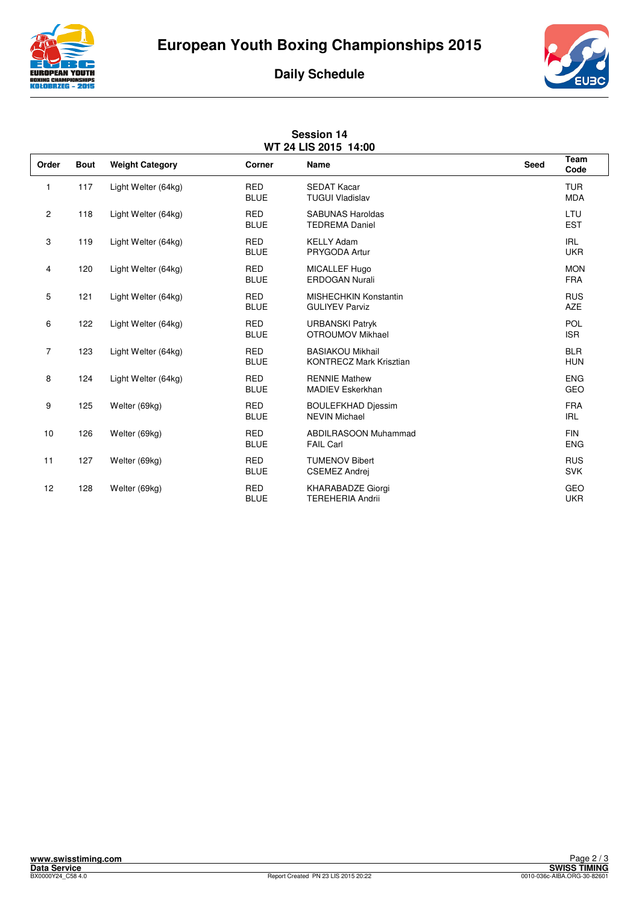





| <b>Session 14</b><br>WT 24 LIS 2015 14:00 |             |                        |                           |                                                           |      |                          |  |  |  |
|-------------------------------------------|-------------|------------------------|---------------------------|-----------------------------------------------------------|------|--------------------------|--|--|--|
| Order                                     | <b>Bout</b> | <b>Weight Category</b> | Corner                    | <b>Name</b>                                               | Seed | Team<br>Code             |  |  |  |
| 1                                         | 117         | Light Welter (64kg)    | <b>RED</b><br><b>BLUE</b> | <b>SEDAT Kacar</b><br><b>TUGUI Vladislav</b>              |      | <b>TUR</b><br><b>MDA</b> |  |  |  |
| $\overline{c}$                            | 118         | Light Welter (64kg)    | <b>RED</b><br><b>BLUE</b> | <b>SABUNAS Haroldas</b><br><b>TEDREMA Daniel</b>          |      | LTU<br><b>EST</b>        |  |  |  |
| 3                                         | 119         | Light Welter (64kg)    | <b>RED</b><br><b>BLUE</b> | <b>KELLY Adam</b><br>PRYGODA Artur                        |      | <b>IRL</b><br><b>UKR</b> |  |  |  |
| 4                                         | 120         | Light Welter (64kg)    | <b>RED</b><br><b>BLUE</b> | MICALLEF Hugo<br><b>ERDOGAN Nurali</b>                    |      | <b>MON</b><br><b>FRA</b> |  |  |  |
| 5                                         | 121         | Light Welter (64kg)    | <b>RED</b><br><b>BLUE</b> | MISHECHKIN Konstantin<br><b>GULIYEV Parviz</b>            |      | <b>RUS</b><br><b>AZE</b> |  |  |  |
| 6                                         | 122         | Light Welter (64kg)    | <b>RED</b><br><b>BLUE</b> | <b>URBANSKI Patryk</b><br>OTROUMOV Mikhael                |      | POL<br><b>ISR</b>        |  |  |  |
| 7                                         | 123         | Light Welter (64kg)    | <b>RED</b><br><b>BLUE</b> | <b>BASIAKOU Mikhail</b><br><b>KONTRECZ Mark Krisztian</b> |      | <b>BLR</b><br><b>HUN</b> |  |  |  |
| 8                                         | 124         | Light Welter (64kg)    | <b>RED</b><br><b>BLUE</b> | <b>RENNIE Mathew</b><br><b>MADIEV Eskerkhan</b>           |      | <b>ENG</b><br>GEO        |  |  |  |
| 9                                         | 125         | Welter (69kg)          | <b>RED</b><br><b>BLUE</b> | <b>BOULEFKHAD Djessim</b><br><b>NEVIN Michael</b>         |      | <b>FRA</b><br><b>IRL</b> |  |  |  |
| 10                                        | 126         | Welter (69kg)          | <b>RED</b><br><b>BLUE</b> | <b>ABDILRASOON Muhammad</b><br><b>FAIL Carl</b>           |      | <b>FIN</b><br><b>ENG</b> |  |  |  |
| 11                                        | 127         | Welter (69kg)          | <b>RED</b><br><b>BLUE</b> | <b>TUMENOV Bibert</b><br><b>CSEMEZ Andrej</b>             |      | <b>RUS</b><br><b>SVK</b> |  |  |  |
| 12                                        | 128         | Welter (69kg)          | <b>RED</b><br><b>BLUE</b> | KHARABADZE Giorgi<br><b>TEREHERIA Andrii</b>              |      | GEO<br><b>UKR</b>        |  |  |  |